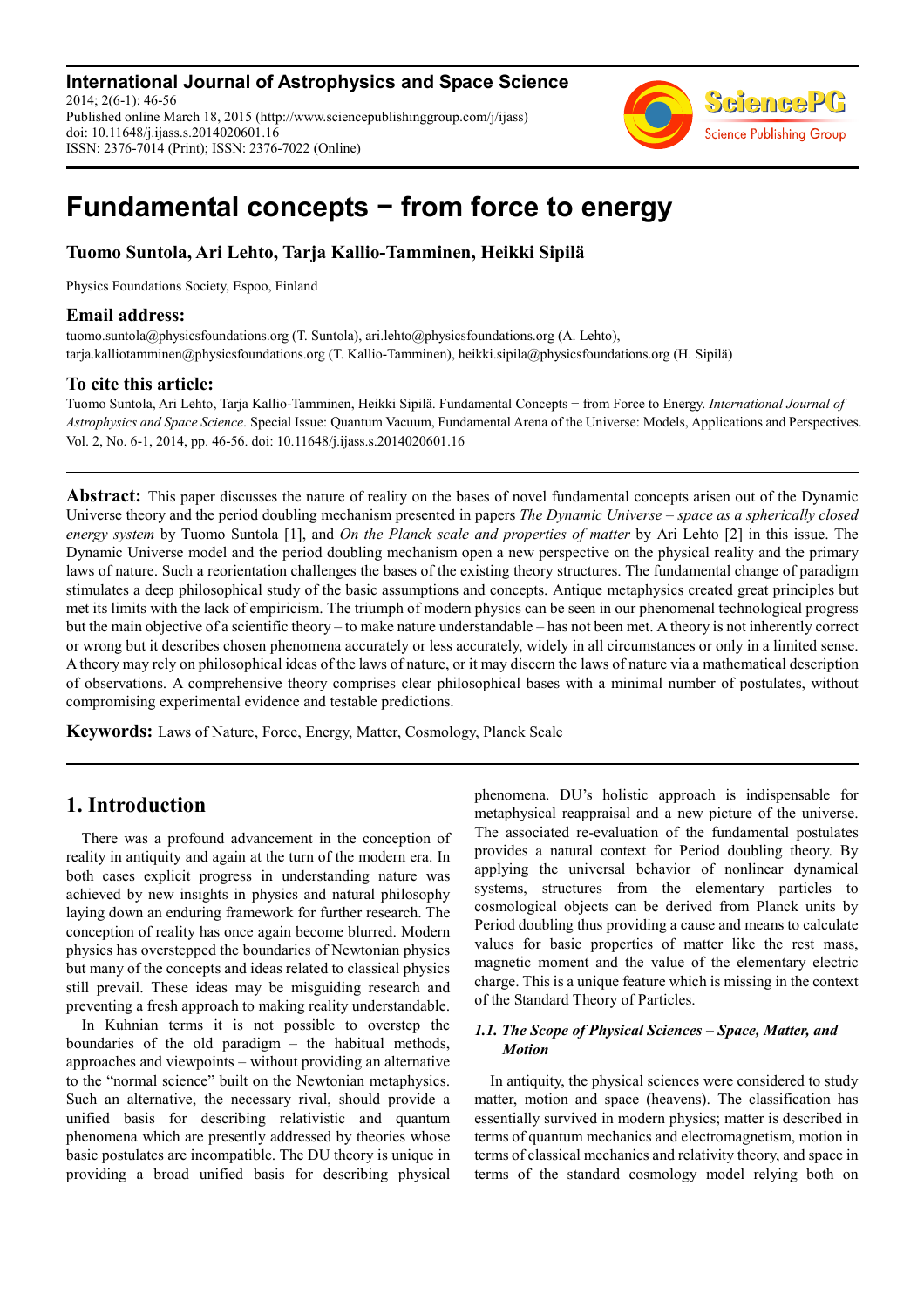**International Journal of Astrophysics and Space Science** 2014; 2(6-1): 46-56 Published online March 18, 2015 (http://www.sciencepublishinggroup.com/j/ijass) doi: 10.11648/j.ijass.s.2014020601.16 ISSN: 2376-7014 (Print); ISSN: 2376-7022 (Online)



# **Fundamental concepts − from force to energy**

# **Tuomo Suntola, Ari Lehto, Tarja Kallio-Tamminen, Heikki Sipilä**

Physics Foundations Society, Espoo, Finland

### **Email address:**

tuomo.suntola@physicsfoundations.org (T. Suntola), ari.lehto@physicsfoundations.org (A. Lehto), tarja.kalliotamminen@physicsfoundations.org (T. Kallio-Tamminen), heikki.sipila@physicsfoundations.org (H. Sipilä)

### **To cite this article:**

Tuomo Suntola, Ari Lehto, Tarja Kallio-Tamminen, Heikki Sipilä. Fundamental Concepts − from Force to Energy. *International Journal of Astrophysics and Space Science*. Special Issue: Quantum Vacuum, Fundamental Arena of the Universe: Models, Applications and Perspectives. Vol. 2, No. 6-1, 2014, pp. 46-56. doi: 10.11648/j.ijass.s.2014020601.16

**Abstract:** This paper discusses the nature of reality on the bases of novel fundamental concepts arisen out of the Dynamic Universe theory and the period doubling mechanism presented in papers *The Dynamic Universe – space as a spherically closed energy system* by Tuomo Suntola [1], and *On the Planck scale and properties of matter* by Ari Lehto [2] in this issue. The Dynamic Universe model and the period doubling mechanism open a new perspective on the physical reality and the primary laws of nature. Such a reorientation challenges the bases of the existing theory structures. The fundamental change of paradigm stimulates a deep philosophical study of the basic assumptions and concepts. Antique metaphysics created great principles but met its limits with the lack of empiricism. The triumph of modern physics can be seen in our phenomenal technological progress but the main objective of a scientific theory – to make nature understandable – has not been met. A theory is not inherently correct or wrong but it describes chosen phenomena accurately or less accurately, widely in all circumstances or only in a limited sense. A theory may rely on philosophical ideas of the laws of nature, or it may discern the laws of nature via a mathematical description of observations. A comprehensive theory comprises clear philosophical bases with a minimal number of postulates, without compromising experimental evidence and testable predictions.

**Keywords:** Laws of Nature, Force, Energy, Matter, Cosmology, Planck Scale

# **1. Introduction**

There was a profound advancement in the conception of reality in antiquity and again at the turn of the modern era. In both cases explicit progress in understanding nature was achieved by new insights in physics and natural philosophy laying down an enduring framework for further research. The conception of reality has once again become blurred. Modern physics has overstepped the boundaries of Newtonian physics but many of the concepts and ideas related to classical physics still prevail. These ideas may be misguiding research and preventing a fresh approach to making reality understandable.

In Kuhnian terms it is not possible to overstep the boundaries of the old paradigm – the habitual methods, approaches and viewpoints – without providing an alternative to the "normal science" built on the Newtonian metaphysics. Such an alternative, the necessary rival, should provide a unified basis for describing relativistic and quantum phenomena which are presently addressed by theories whose basic postulates are incompatible. The DU theory is unique in providing a broad unified basis for describing physical phenomena. DU's holistic approach is indispensable for metaphysical reappraisal and a new picture of the universe. The associated re-evaluation of the fundamental postulates provides a natural context for Period doubling theory. By applying the universal behavior of nonlinear dynamical systems, structures from the elementary particles to cosmological objects can be derived from Planck units by Period doubling thus providing a cause and means to calculate values for basic properties of matter like the rest mass, magnetic moment and the value of the elementary electric charge. This is a unique feature which is missing in the context of the Standard Theory of Particles.

### *1.1. The Scope of Physical Sciences – Space, Matter, and Motion*

In antiquity, the physical sciences were considered to study matter, motion and space (heavens). The classification has essentially survived in modern physics; matter is described in terms of quantum mechanics and electromagnetism, motion in terms of classical mechanics and relativity theory, and space in terms of the standard cosmology model relying both on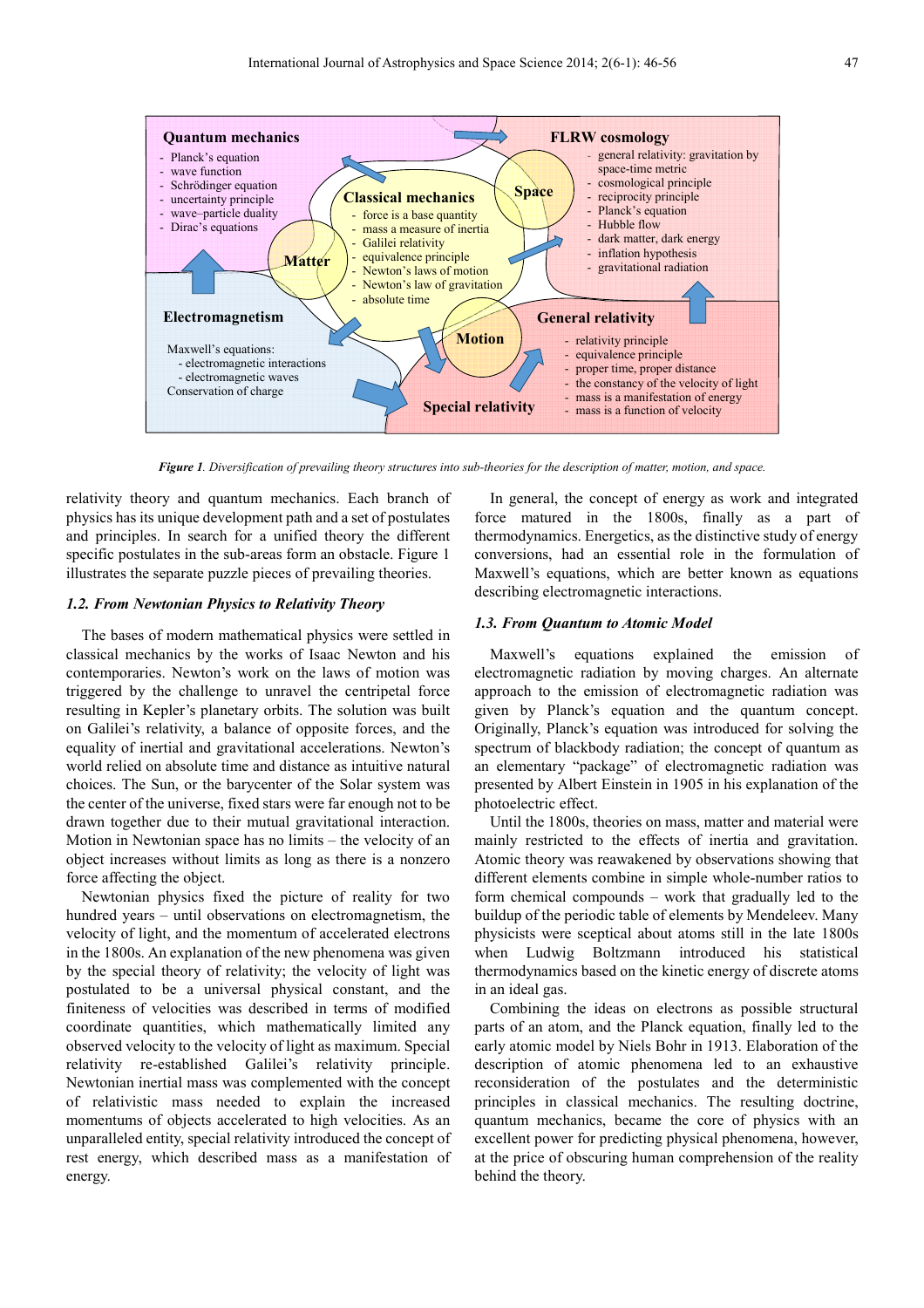

*Figure 1. Diversification of prevailing theory structures into sub-theories for the description of matter, motion, and space.* 

relativity theory and quantum mechanics. Each branch of physics has its unique development path and a set of postulates and principles. In search for a unified theory the different specific postulates in the sub-areas form an obstacle. Figure 1 illustrates the separate puzzle pieces of prevailing theories.

### *1.2. From Newtonian Physics to Relativity Theory*

The bases of modern mathematical physics were settled in classical mechanics by the works of Isaac Newton and his contemporaries. Newton's work on the laws of motion was triggered by the challenge to unravel the centripetal force resulting in Kepler's planetary orbits. The solution was built on Galilei's relativity, a balance of opposite forces, and the equality of inertial and gravitational accelerations. Newton's world relied on absolute time and distance as intuitive natural choices. The Sun, or the barycenter of the Solar system was the center of the universe, fixed stars were far enough not to be drawn together due to their mutual gravitational interaction. Motion in Newtonian space has no limits – the velocity of an object increases without limits as long as there is a nonzero force affecting the object.

Newtonian physics fixed the picture of reality for two hundred years – until observations on electromagnetism, the velocity of light, and the momentum of accelerated electrons in the 1800s. An explanation of the new phenomena was given by the special theory of relativity; the velocity of light was postulated to be a universal physical constant, and the finiteness of velocities was described in terms of modified coordinate quantities, which mathematically limited any observed velocity to the velocity of light as maximum. Special relativity re-established Galilei's relativity principle. Newtonian inertial mass was complemented with the concept of relativistic mass needed to explain the increased momentums of objects accelerated to high velocities. As an unparalleled entity, special relativity introduced the concept of rest energy, which described mass as a manifestation of energy.

In general, the concept of energy as work and integrated force matured in the 1800s, finally as a part of thermodynamics. Energetics, as the distinctive study of energy conversions, had an essential role in the formulation of Maxwell's equations, which are better known as equations describing electromagnetic interactions.

### *1.3. From Quantum to Atomic Model*

Maxwell's equations explained the emission of electromagnetic radiation by moving charges. An alternate approach to the emission of electromagnetic radiation was given by Planck's equation and the quantum concept. Originally, Planck's equation was introduced for solving the spectrum of blackbody radiation; the concept of quantum as an elementary "package" of electromagnetic radiation was presented by Albert Einstein in 1905 in his explanation of the photoelectric effect.

Until the 1800s, theories on mass, matter and material were mainly restricted to the effects of inertia and gravitation. Atomic theory was reawakened by observations showing that different elements combine in simple whole-number ratios to form chemical compounds – work that gradually led to the buildup of the periodic table of elements by Mendeleev. Many physicists were sceptical about atoms still in the late 1800s when Ludwig Boltzmann introduced his statistical thermodynamics based on the kinetic energy of discrete atoms in an ideal gas.

Combining the ideas on electrons as possible structural parts of an atom, and the Planck equation, finally led to the early atomic model by Niels Bohr in 1913. Elaboration of the description of atomic phenomena led to an exhaustive reconsideration of the postulates and the deterministic principles in classical mechanics. The resulting doctrine, quantum mechanics, became the core of physics with an excellent power for predicting physical phenomena, however, at the price of obscuring human comprehension of the reality behind the theory.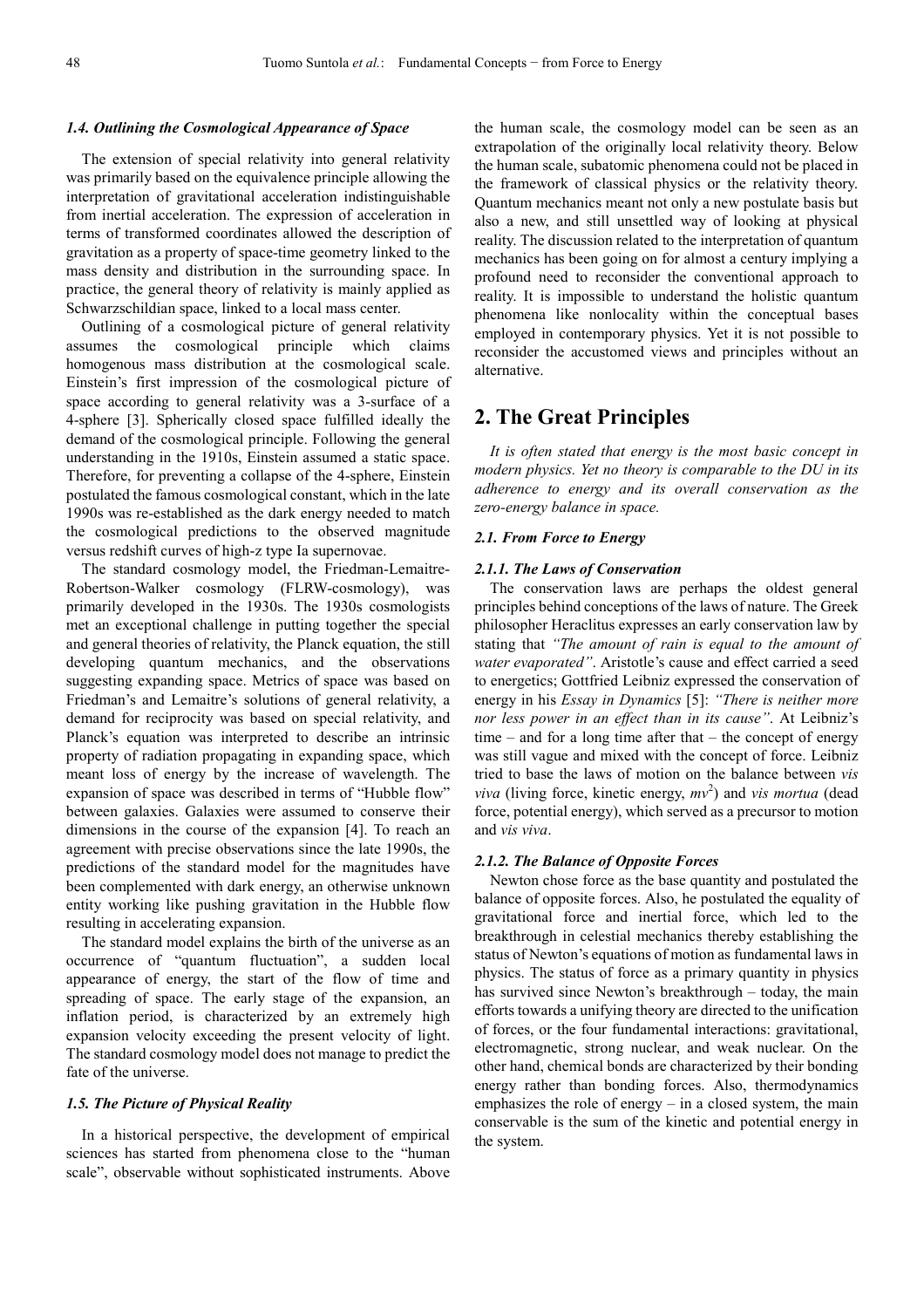### *1.4. Outlining the Cosmological Appearance of Space*

The extension of special relativity into general relativity was primarily based on the equivalence principle allowing the interpretation of gravitational acceleration indistinguishable from inertial acceleration. The expression of acceleration in terms of transformed coordinates allowed the description of gravitation as a property of space-time geometry linked to the mass density and distribution in the surrounding space. In practice, the general theory of relativity is mainly applied as Schwarzschildian space, linked to a local mass center.

Outlining of a cosmological picture of general relativity assumes the cosmological principle which claims homogenous mass distribution at the cosmological scale. Einstein's first impression of the cosmological picture of space according to general relativity was a 3-surface of a 4-sphere [3]. Spherically closed space fulfilled ideally the demand of the cosmological principle. Following the general understanding in the 1910s, Einstein assumed a static space. Therefore, for preventing a collapse of the 4-sphere, Einstein postulated the famous cosmological constant, which in the late 1990s was re-established as the dark energy needed to match the cosmological predictions to the observed magnitude versus redshift curves of high-z type Ia supernovae.

The standard cosmology model, the Friedman-Lemaitre-Robertson-Walker cosmology (FLRW-cosmology), was primarily developed in the 1930s. The 1930s cosmologists met an exceptional challenge in putting together the special and general theories of relativity, the Planck equation, the still developing quantum mechanics, and the observations suggesting expanding space. Metrics of space was based on Friedman's and Lemaitre's solutions of general relativity, a demand for reciprocity was based on special relativity, and Planck's equation was interpreted to describe an intrinsic property of radiation propagating in expanding space, which meant loss of energy by the increase of wavelength. The expansion of space was described in terms of "Hubble flow" between galaxies. Galaxies were assumed to conserve their dimensions in the course of the expansion [4]. To reach an agreement with precise observations since the late 1990s, the predictions of the standard model for the magnitudes have been complemented with dark energy, an otherwise unknown entity working like pushing gravitation in the Hubble flow resulting in accelerating expansion.

The standard model explains the birth of the universe as an occurrence of "quantum fluctuation", a sudden local appearance of energy, the start of the flow of time and spreading of space. The early stage of the expansion, an inflation period, is characterized by an extremely high expansion velocity exceeding the present velocity of light. The standard cosmology model does not manage to predict the fate of the universe.

### *1.5. The Picture of Physical Reality*

In a historical perspective, the development of empirical sciences has started from phenomena close to the "human scale", observable without sophisticated instruments. Above the human scale, the cosmology model can be seen as an extrapolation of the originally local relativity theory. Below the human scale, subatomic phenomena could not be placed in the framework of classical physics or the relativity theory. Quantum mechanics meant not only a new postulate basis but also a new, and still unsettled way of looking at physical reality. The discussion related to the interpretation of quantum mechanics has been going on for almost a century implying a profound need to reconsider the conventional approach to reality. It is impossible to understand the holistic quantum phenomena like nonlocality within the conceptual bases employed in contemporary physics. Yet it is not possible to reconsider the accustomed views and principles without an alternative.

### **2. The Great Principles**

*It is often stated that energy is the most basic concept in modern physics. Yet no theory is comparable to the DU in its adherence to energy and its overall conservation as the zero-energy balance in space.* 

### *2.1. From Force to Energy*

#### *2.1.1. The Laws of Conservation*

The conservation laws are perhaps the oldest general principles behind conceptions of the laws of nature. The Greek philosopher Heraclitus expresses an early conservation law by stating that *"The amount of rain is equal to the amount of water evaporated"*. Aristotle's cause and effect carried a seed to energetics; Gottfried Leibniz expressed the conservation of energy in his *Essay in Dynamics* [5]: *"There is neither more nor less power in an effect than in its cause"*. At Leibniz's time – and for a long time after that – the concept of energy was still vague and mixed with the concept of force. Leibniz tried to base the laws of motion on the balance between *vis viva* (living force, kinetic energy, *mv* 2 ) and *vis mortua* (dead force, potential energy), which served as a precursor to motion and *vis viva*.

### *2.1.2. The Balance of Opposite Forces*

Newton chose force as the base quantity and postulated the balance of opposite forces. Also, he postulated the equality of gravitational force and inertial force, which led to the breakthrough in celestial mechanics thereby establishing the status of Newton's equations of motion as fundamental laws in physics. The status of force as a primary quantity in physics has survived since Newton's breakthrough – today, the main efforts towards a unifying theory are directed to the unification of forces, or the four fundamental interactions: gravitational, electromagnetic, strong nuclear, and weak nuclear. On the other hand, chemical bonds are characterized by their bonding energy rather than bonding forces. Also, thermodynamics emphasizes the role of energy – in a closed system, the main conservable is the sum of the kinetic and potential energy in the system.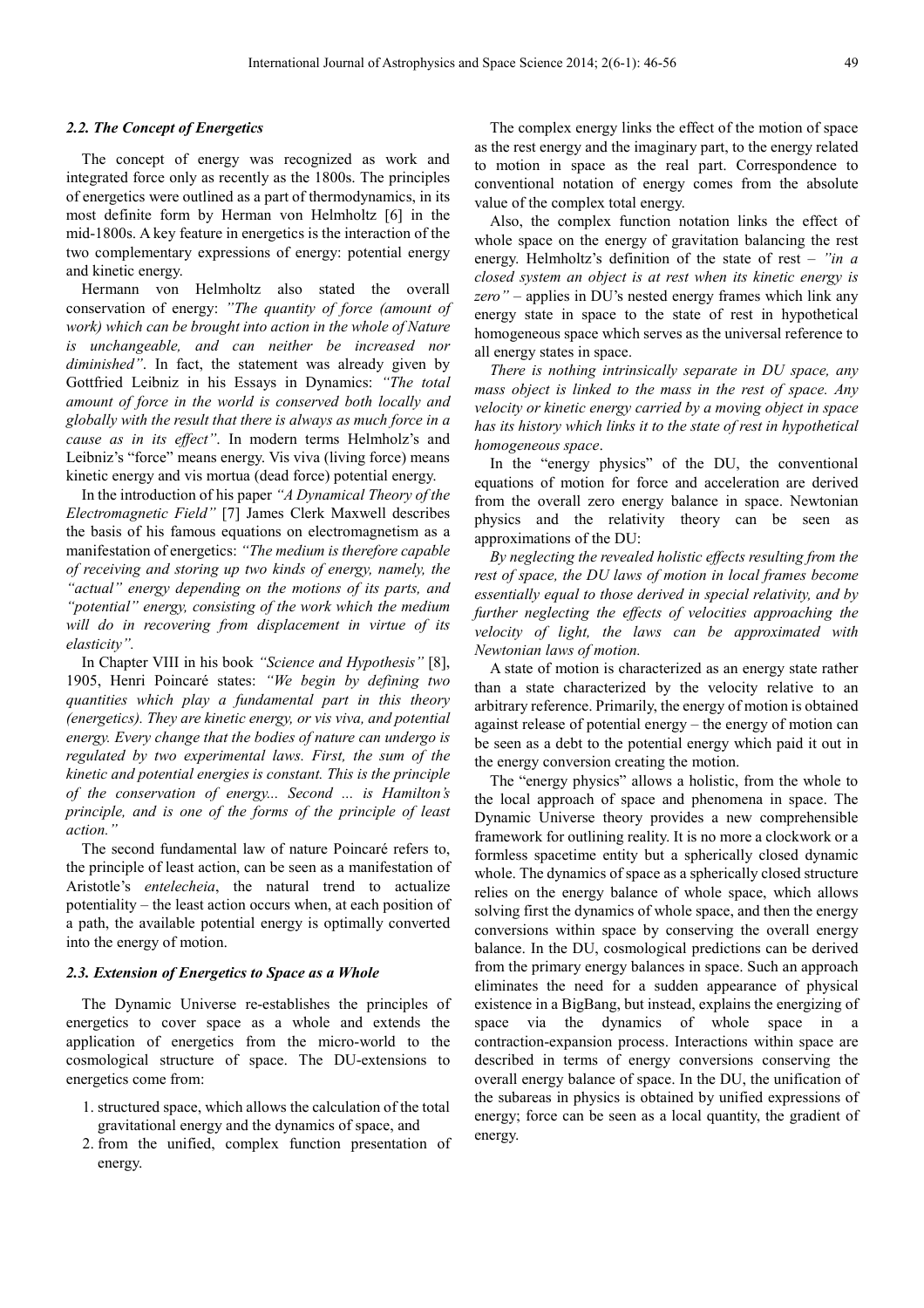### *2.2. The Concept of Energetics*

The concept of energy was recognized as work and integrated force only as recently as the 1800s. The principles of energetics were outlined as a part of thermodynamics, in its most definite form by Herman von Helmholtz [6] in the mid-1800s. A key feature in energetics is the interaction of the two complementary expressions of energy: potential energy and kinetic energy.

Hermann von Helmholtz also stated the overall conservation of energy: *"The quantity of force (amount of work) which can be brought into action in the whole of Nature is unchangeable, and can neither be increased nor diminished"*. In fact, the statement was already given by Gottfried Leibniz in his Essays in Dynamics: *"The total amount of force in the world is conserved both locally and globally with the result that there is always as much force in a cause as in its effect"*. In modern terms Helmholz's and Leibniz's "force" means energy. Vis viva (living force) means kinetic energy and vis mortua (dead force) potential energy.

In the introduction of his paper *"A Dynamical Theory of the Electromagnetic Field"* [7] James Clerk Maxwell describes the basis of his famous equations on electromagnetism as a manifestation of energetics: *"The medium is therefore capable of receiving and storing up two kinds of energy, namely, the "actual" energy depending on the motions of its parts, and "potential" energy, consisting of the work which the medium will do in recovering from displacement in virtue of its elasticity".* 

In Chapter VIII in his book *"Science and Hypothesis"* [8], 1905, Henri Poincaré states: *"We begin by defining two quantities which play a fundamental part in this theory (energetics). They are kinetic energy, or vis viva, and potential energy. Every change that the bodies of nature can undergo is regulated by two experimental laws. First, the sum of the kinetic and potential energies is constant. This is the principle of the conservation of energy... Second ... is Hamilton's principle, and is one of the forms of the principle of least action."* 

The second fundamental law of nature Poincaré refers to, the principle of least action, can be seen as a manifestation of Aristotle's *entelecheia*, the natural trend to actualize potentiality – the least action occurs when, at each position of a path, the available potential energy is optimally converted into the energy of motion.

#### *2.3. Extension of Energetics to Space as a Whole*

The Dynamic Universe re-establishes the principles of energetics to cover space as a whole and extends the application of energetics from the micro-world to the cosmological structure of space. The DU-extensions to energetics come from:

- 1. structured space, which allows the calculation of the total gravitational energy and the dynamics of space, and
- 2. from the unified, complex function presentation of energy.

The complex energy links the effect of the motion of space as the rest energy and the imaginary part, to the energy related to motion in space as the real part. Correspondence to conventional notation of energy comes from the absolute value of the complex total energy.

Also, the complex function notation links the effect of whole space on the energy of gravitation balancing the rest energy. Helmholtz's definition of the state of rest – *"in a closed system an object is at rest when its kinetic energy is zero"* – applies in DU's nested energy frames which link any energy state in space to the state of rest in hypothetical homogeneous space which serves as the universal reference to all energy states in space.

*There is nothing intrinsically separate in DU space, any mass object is linked to the mass in the rest of space. Any velocity or kinetic energy carried by a moving object in space has its history which links it to the state of rest in hypothetical homogeneous space*.

In the "energy physics" of the DU, the conventional equations of motion for force and acceleration are derived from the overall zero energy balance in space. Newtonian physics and the relativity theory can be seen as approximations of the DU:

*By neglecting the revealed holistic effects resulting from the rest of space, the DU laws of motion in local frames become essentially equal to those derived in special relativity, and by further neglecting the effects of velocities approaching the velocity of light, the laws can be approximated with Newtonian laws of motion.* 

A state of motion is characterized as an energy state rather than a state characterized by the velocity relative to an arbitrary reference. Primarily, the energy of motion is obtained against release of potential energy – the energy of motion can be seen as a debt to the potential energy which paid it out in the energy conversion creating the motion.

The "energy physics" allows a holistic, from the whole to the local approach of space and phenomena in space. The Dynamic Universe theory provides a new comprehensible framework for outlining reality. It is no more a clockwork or a formless spacetime entity but a spherically closed dynamic whole. The dynamics of space as a spherically closed structure relies on the energy balance of whole space, which allows solving first the dynamics of whole space, and then the energy conversions within space by conserving the overall energy balance. In the DU, cosmological predictions can be derived from the primary energy balances in space. Such an approach eliminates the need for a sudden appearance of physical existence in a BigBang, but instead, explains the energizing of space via the dynamics of whole space in a contraction-expansion process. Interactions within space are described in terms of energy conversions conserving the overall energy balance of space. In the DU, the unification of the subareas in physics is obtained by unified expressions of energy; force can be seen as a local quantity, the gradient of energy.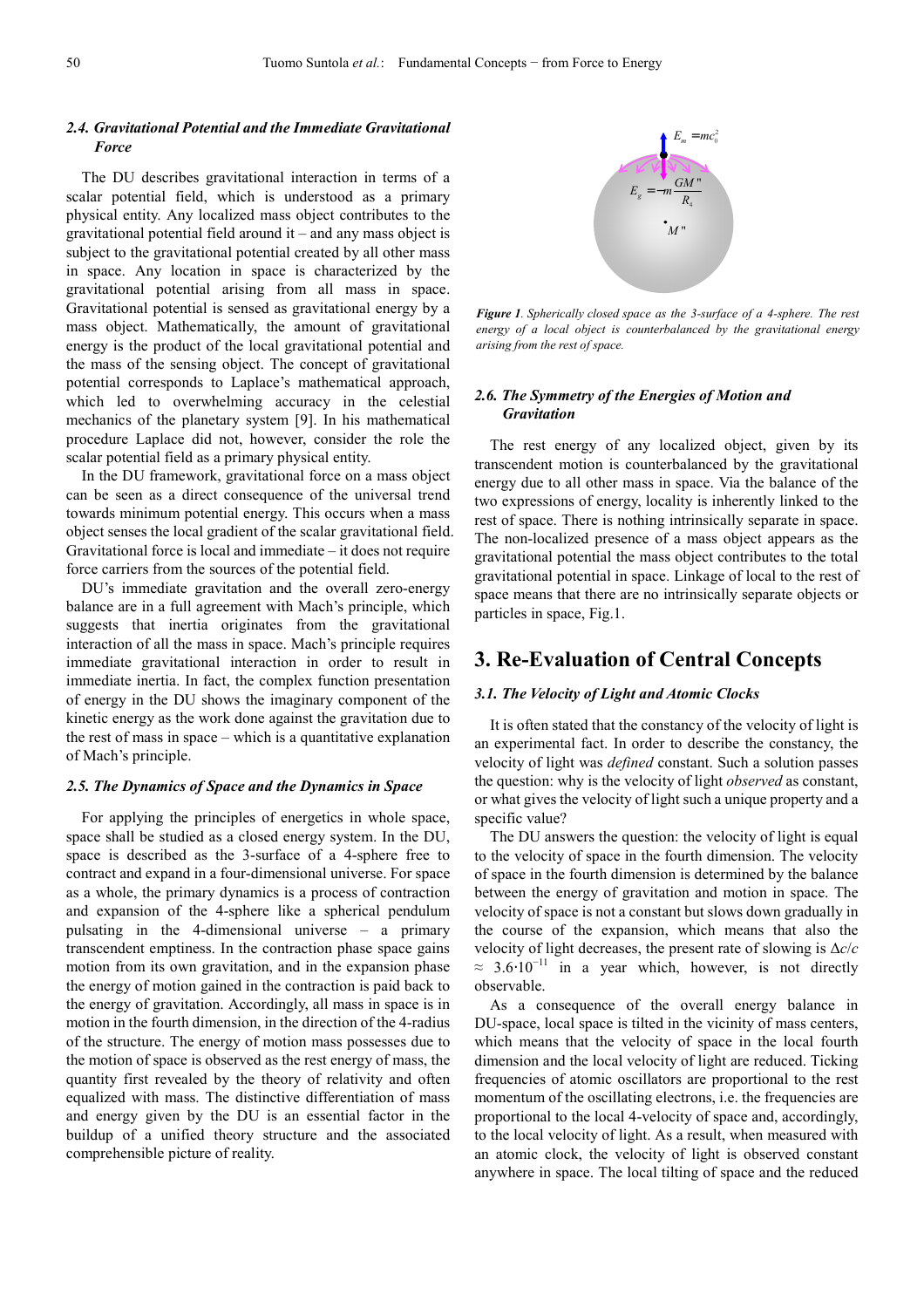### *2.4. Gravitational Potential and the Immediate Gravitational Force*

The DU describes gravitational interaction in terms of a scalar potential field, which is understood as a primary physical entity. Any localized mass object contributes to the gravitational potential field around it – and any mass object is subject to the gravitational potential created by all other mass in space. Any location in space is characterized by the gravitational potential arising from all mass in space. Gravitational potential is sensed as gravitational energy by a mass object. Mathematically, the amount of gravitational energy is the product of the local gravitational potential and the mass of the sensing object. The concept of gravitational potential corresponds to Laplace's mathematical approach, which led to overwhelming accuracy in the celestial mechanics of the planetary system [9]. In his mathematical procedure Laplace did not, however, consider the role the scalar potential field as a primary physical entity.

In the DU framework, gravitational force on a mass object can be seen as a direct consequence of the universal trend towards minimum potential energy. This occurs when a mass object senses the local gradient of the scalar gravitational field. Gravitational force is local and immediate – it does not require force carriers from the sources of the potential field.

DU's immediate gravitation and the overall zero-energy balance are in a full agreement with Mach's principle, which suggests that inertia originates from the gravitational interaction of all the mass in space. Mach's principle requires immediate gravitational interaction in order to result in immediate inertia. In fact, the complex function presentation of energy in the DU shows the imaginary component of the kinetic energy as the work done against the gravitation due to the rest of mass in space – which is a quantitative explanation of Mach's principle.

### *2.5. The Dynamics of Space and the Dynamics in Space*

For applying the principles of energetics in whole space, space shall be studied as a closed energy system. In the DU, space is described as the 3-surface of a 4-sphere free to contract and expand in a four-dimensional universe. For space as a whole, the primary dynamics is a process of contraction and expansion of the 4-sphere like a spherical pendulum pulsating in the 4-dimensional universe – a primary transcendent emptiness. In the contraction phase space gains motion from its own gravitation, and in the expansion phase the energy of motion gained in the contraction is paid back to the energy of gravitation. Accordingly, all mass in space is in motion in the fourth dimension, in the direction of the 4-radius of the structure. The energy of motion mass possesses due to the motion of space is observed as the rest energy of mass, the quantity first revealed by the theory of relativity and often equalized with mass. The distinctive differentiation of mass and energy given by the DU is an essential factor in the buildup of a unified theory structure and the associated comprehensible picture of reality.



*Figure 1. Spherically closed space as the 3-surface of a 4-sphere. The rest energy of a local object is counterbalanced by the gravitational energy arising from the rest of space.* 

### *2.6. The Symmetry of the Energies of Motion and Gravitation*

The rest energy of any localized object, given by its transcendent motion is counterbalanced by the gravitational energy due to all other mass in space. Via the balance of the two expressions of energy, locality is inherently linked to the rest of space. There is nothing intrinsically separate in space. The non-localized presence of a mass object appears as the gravitational potential the mass object contributes to the total gravitational potential in space. Linkage of local to the rest of space means that there are no intrinsically separate objects or particles in space, Fig.1.

# **3. Re-Evaluation of Central Concepts**

### *3.1. The Velocity of Light and Atomic Clocks*

It is often stated that the constancy of the velocity of light is an experimental fact. In order to describe the constancy, the velocity of light was *defined* constant. Such a solution passes the question: why is the velocity of light *observed* as constant, or what gives the velocity of light such a unique property and a specific value?

The DU answers the question: the velocity of light is equal to the velocity of space in the fourth dimension. The velocity of space in the fourth dimension is determined by the balance between the energy of gravitation and motion in space. The velocity of space is not a constant but slows down gradually in the course of the expansion, which means that also the velocity of light decreases, the present rate of slowing is ∆*c*/*c*  $\approx$  3.6.10<sup>-11</sup> in a year which, however, is not directly observable.

As a consequence of the overall energy balance in DU-space, local space is tilted in the vicinity of mass centers, which means that the velocity of space in the local fourth dimension and the local velocity of light are reduced. Ticking frequencies of atomic oscillators are proportional to the rest momentum of the oscillating electrons, *i.e.* the frequencies are proportional to the local 4-velocity of space and, accordingly, to the local velocity of light. As a result, when measured with an atomic clock, the velocity of light is observed constant anywhere in space. The local tilting of space and the reduced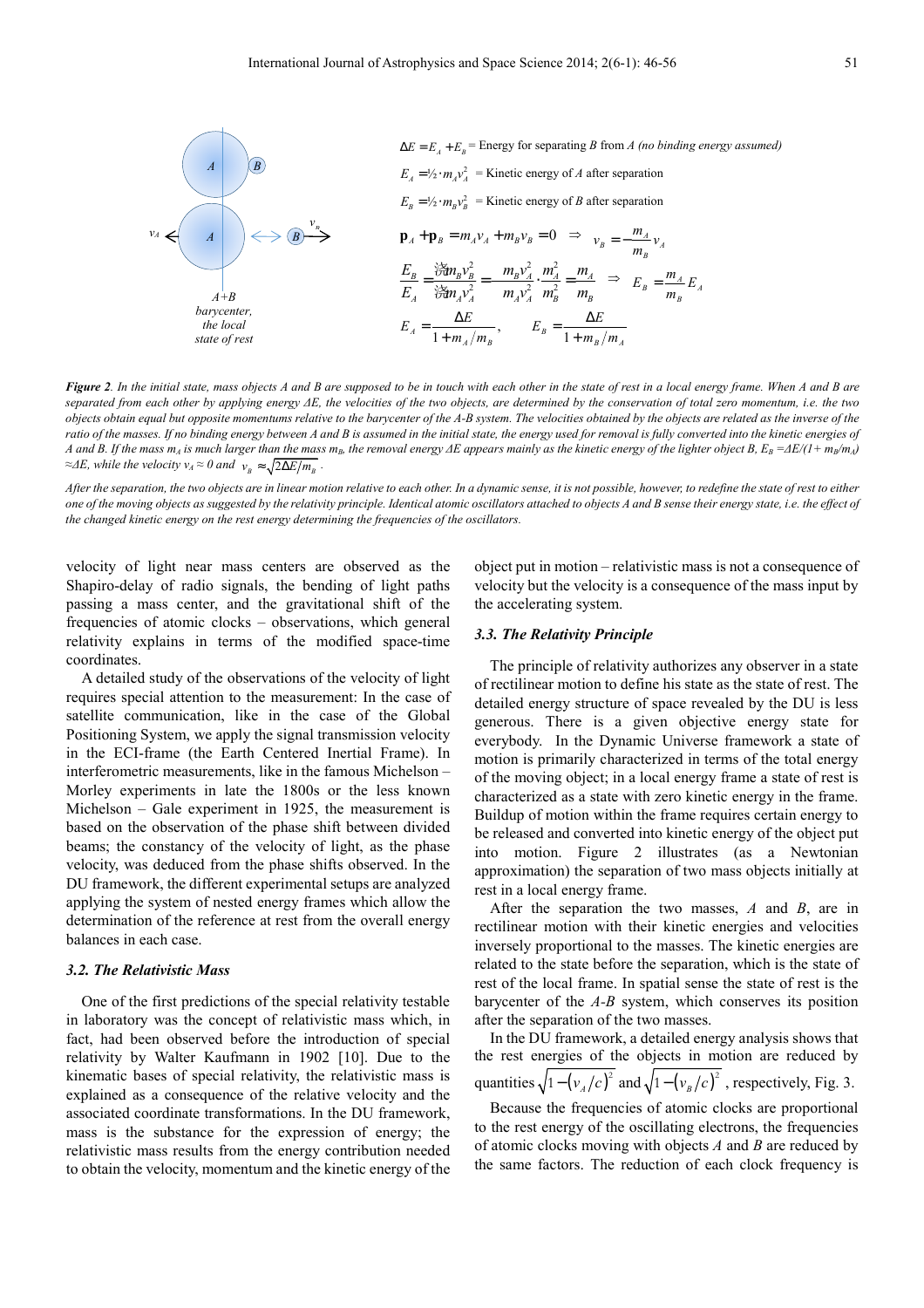

*Figure 2. In the initial state, mass objects A and B are supposed to be in touch with each other in the state of rest in a local energy frame. When A and B are separated from each other by applying energy ∆E, the velocities of the two objects, are determined by the conservation of total zero momentum, i.e. the two objects obtain equal but opposite momentums relative to the barycenter of the A-B system. The velocities obtained by the objects are related as the inverse of the*  ratio of the masses. If no binding energy between A and B is assumed in the initial state, the energy used for removal is fully converted into the kinetic energies of A and B. If the mass  $m_A$  is much larger than the mass  $m_B$ , the removal energy  $\Delta E$  appears mainly as the kinetic energy of the lighter object B,  $E_B = \Delta E/(1 + m_B/m_A)$ *≈∆E, while the velocity v<sub>A</sub>* ≈ 0 and  $v_B \approx \sqrt{2\Delta E/m_B}$ .

*After the separation, the two objects are in linear motion relative to each other. In a dynamic sense, it is not possible, however, to redefine the state of rest to either one of the moving objects as suggested by the relativity principle. Identical atomic oscillators attached to objects A and B sense their energy state, i.e. the effect of the changed kinetic energy on the rest energy determining the frequencies of the oscillators.* 

velocity of light near mass centers are observed as the Shapiro-delay of radio signals, the bending of light paths passing a mass center, and the gravitational shift of the frequencies of atomic clocks – observations, which general relativity explains in terms of the modified space-time coordinates.

A detailed study of the observations of the velocity of light requires special attention to the measurement: In the case of satellite communication, like in the case of the Global Positioning System, we apply the signal transmission velocity in the ECI-frame (the Earth Centered Inertial Frame). In interferometric measurements, like in the famous Michelson – Morley experiments in late the 1800s or the less known Michelson – Gale experiment in 1925, the measurement is based on the observation of the phase shift between divided beams; the constancy of the velocity of light, as the phase velocity, was deduced from the phase shifts observed. In the DU framework, the different experimental setups are analyzed applying the system of nested energy frames which allow the determination of the reference at rest from the overall energy balances in each case.

#### *3.2. The Relativistic Mass*

One of the first predictions of the special relativity testable in laboratory was the concept of relativistic mass which, in fact, had been observed before the introduction of special relativity by Walter Kaufmann in 1902 [10]. Due to the kinematic bases of special relativity, the relativistic mass is explained as a consequence of the relative velocity and the associated coordinate transformations. In the DU framework, mass is the substance for the expression of energy; the relativistic mass results from the energy contribution needed to obtain the velocity, momentum and the kinetic energy of the

object put in motion – relativistic mass is not a consequence of velocity but the velocity is a consequence of the mass input by the accelerating system.

### *3.3. The Relativity Principle*

The principle of relativity authorizes any observer in a state of rectilinear motion to define his state as the state of rest. The detailed energy structure of space revealed by the DU is less generous. There is a given objective energy state for everybody. In the Dynamic Universe framework a state of motion is primarily characterized in terms of the total energy of the moving object; in a local energy frame a state of rest is characterized as a state with zero kinetic energy in the frame. Buildup of motion within the frame requires certain energy to be released and converted into kinetic energy of the object put into motion. Figure 2 illustrates (as a Newtonian approximation) the separation of two mass objects initially at rest in a local energy frame.

After the separation the two masses, *A* and *B*, are in rectilinear motion with their kinetic energies and velocities inversely proportional to the masses. The kinetic energies are related to the state before the separation, which is the state of rest of the local frame. In spatial sense the state of rest is the barycenter of the *A-B* system, which conserves its position after the separation of the two masses.

In the DU framework, a detailed energy analysis shows that the rest energies of the objects in motion are reduced by quantities  $\sqrt{1-(v_{A}/c)^{2}}$  and  $\sqrt{1-(v_{B}/c)^{2}}$ , respectively, Fig. 3.

Because the frequencies of atomic clocks are proportional to the rest energy of the oscillating electrons, the frequencies of atomic clocks moving with objects *A* and *B* are reduced by the same factors. The reduction of each clock frequency is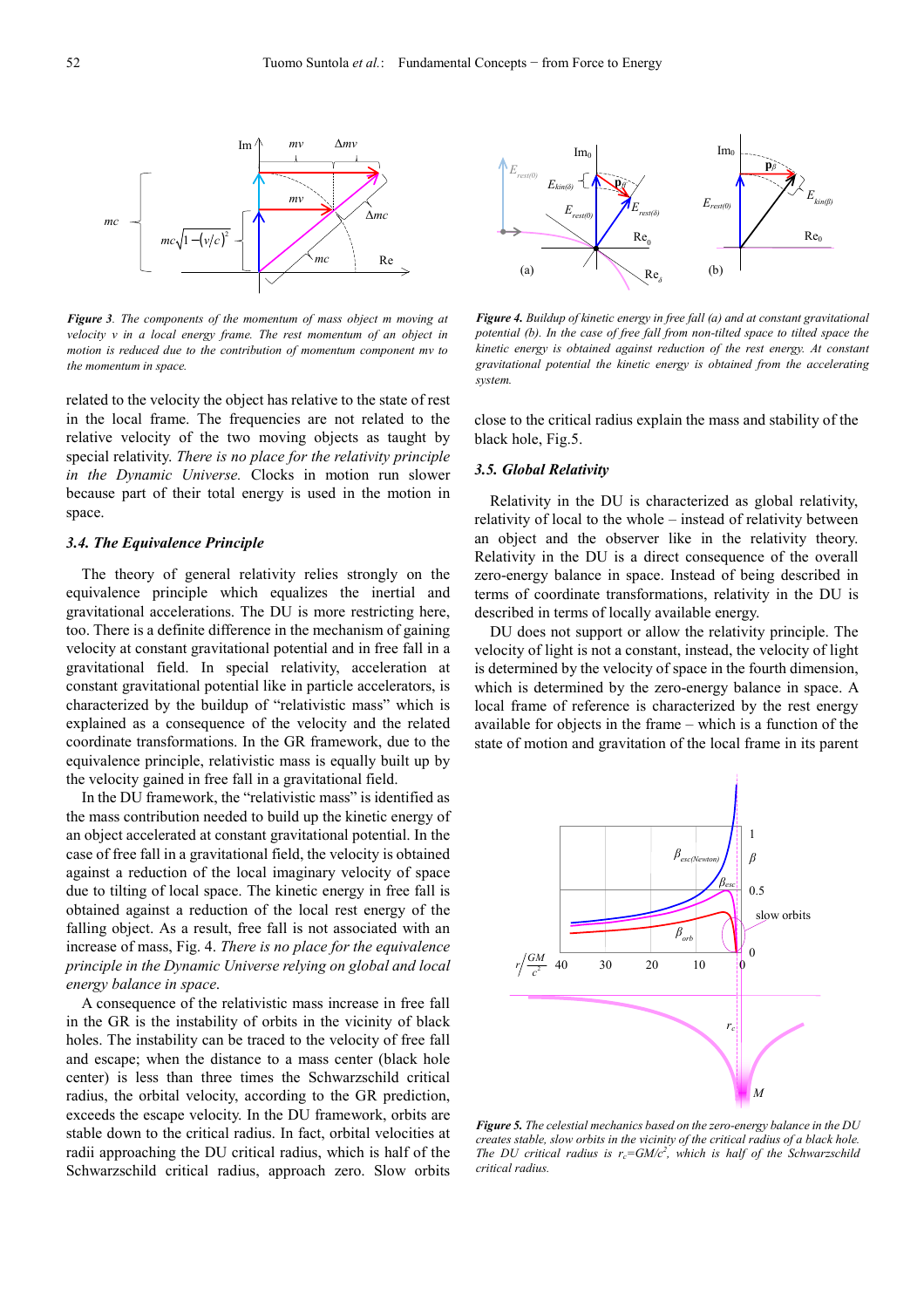

*Figure 3. The components of the momentum of mass object m moving at velocity v in a local energy frame. The rest momentum of an object in motion is reduced due to the contribution of momentum component mv to the momentum in space.*

related to the velocity the object has relative to the state of rest in the local frame. The frequencies are not related to the relative velocity of the two moving objects as taught by special relativity. *There is no place for the relativity principle in the Dynamic Universe.* Clocks in motion run slower because part of their total energy is used in the motion in space.

### *3.4. The Equivalence Principle*

The theory of general relativity relies strongly on the equivalence principle which equalizes the inertial and gravitational accelerations. The DU is more restricting here, too. There is a definite difference in the mechanism of gaining velocity at constant gravitational potential and in free fall in a gravitational field. In special relativity, acceleration at constant gravitational potential like in particle accelerators, is characterized by the buildup of "relativistic mass" which is explained as a consequence of the velocity and the related coordinate transformations. In the GR framework, due to the equivalence principle, relativistic mass is equally built up by the velocity gained in free fall in a gravitational field.

In the DU framework, the "relativistic mass" is identified as the mass contribution needed to build up the kinetic energy of an object accelerated at constant gravitational potential. In the case of free fall in a gravitational field, the velocity is obtained against a reduction of the local imaginary velocity of space due to tilting of local space. The kinetic energy in free fall is obtained against a reduction of the local rest energy of the falling object. As a result, free fall is not associated with an increase of mass, Fig. 4. *There is no place for the equivalence principle in the Dynamic Universe relying on global and local energy balance in space*.

A consequence of the relativistic mass increase in free fall in the GR is the instability of orbits in the vicinity of black holes. The instability can be traced to the velocity of free fall and escape; when the distance to a mass center (black hole center) is less than three times the Schwarzschild critical radius, the orbital velocity, according to the GR prediction, exceeds the escape velocity. In the DU framework, orbits are stable down to the critical radius. In fact, orbital velocities at radii approaching the DU critical radius, which is half of the Schwarzschild critical radius, approach zero. Slow orbits



*Figure 4. Buildup of kinetic energy in free fall (a) and at constant gravitational potential (b). In the case of free fall from non-tilted space to tilted space the kinetic energy is obtained against reduction of the rest energy. At constant gravitational potential the kinetic energy is obtained from the accelerating system.* 

close to the critical radius explain the mass and stability of the black hole, Fig.5.

### *3.5. Global Relativity*

Relativity in the DU is characterized as global relativity, relativity of local to the whole – instead of relativity between an object and the observer like in the relativity theory. Relativity in the DU is a direct consequence of the overall zero-energy balance in space. Instead of being described in terms of coordinate transformations, relativity in the DU is described in terms of locally available energy.

DU does not support or allow the relativity principle. The velocity of light is not a constant, instead, the velocity of light is determined by the velocity of space in the fourth dimension, which is determined by the zero-energy balance in space. A local frame of reference is characterized by the rest energy available for objects in the frame – which is a function of the state of motion and gravitation of the local frame in its parent



*Figure 5. The celestial mechanics based on the zero-energy balance in the DU creates stable, slow orbits in the vicinity of the critical radius of a black hole. The DU critical radius is*  $r_c = GM/c^2$ *, which is half of the Schwarzschild critical radius.*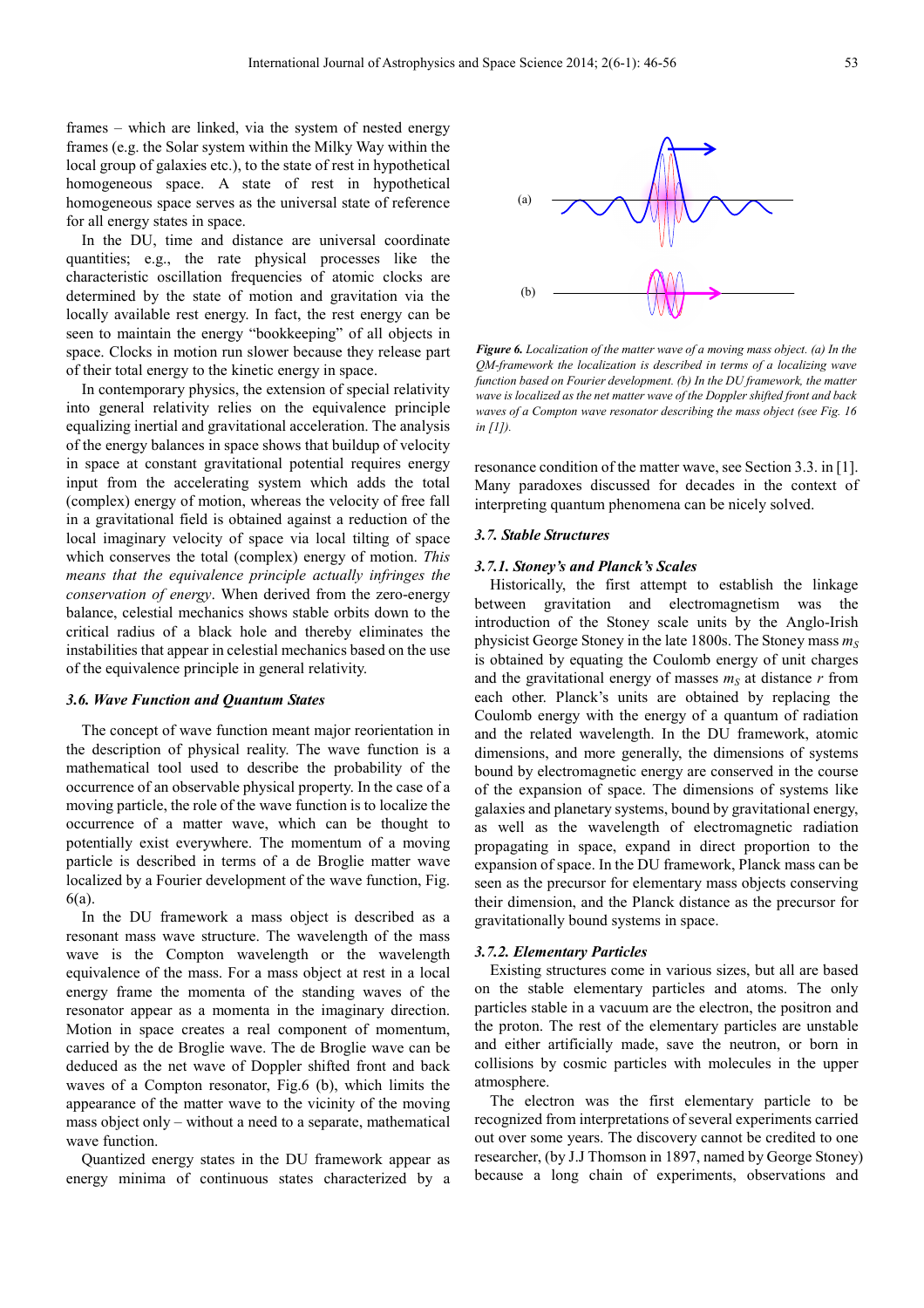frames – which are linked, via the system of nested energy frames (e.g. the Solar system within the Milky Way within the local group of galaxies etc.), to the state of rest in hypothetical homogeneous space. A state of rest in hypothetical homogeneous space serves as the universal state of reference for all energy states in space.

In the DU, time and distance are universal coordinate quantities; e.g., the rate physical processes like the characteristic oscillation frequencies of atomic clocks are determined by the state of motion and gravitation via the locally available rest energy. In fact, the rest energy can be seen to maintain the energy "bookkeeping" of all objects in space. Clocks in motion run slower because they release part of their total energy to the kinetic energy in space.

In contemporary physics, the extension of special relativity into general relativity relies on the equivalence principle equalizing inertial and gravitational acceleration. The analysis of the energy balances in space shows that buildup of velocity in space at constant gravitational potential requires energy input from the accelerating system which adds the total (complex) energy of motion, whereas the velocity of free fall in a gravitational field is obtained against a reduction of the local imaginary velocity of space via local tilting of space which conserves the total (complex) energy of motion. *This means that the equivalence principle actually infringes the conservation of energy*. When derived from the zero-energy balance, celestial mechanics shows stable orbits down to the critical radius of a black hole and thereby eliminates the instabilities that appear in celestial mechanics based on the use of the equivalence principle in general relativity.

#### *3.6. Wave Function and Quantum States*

The concept of wave function meant major reorientation in the description of physical reality. The wave function is a mathematical tool used to describe the probability of the occurrence of an observable physical property. In the case of a moving particle, the role of the wave function is to localize the occurrence of a matter wave, which can be thought to potentially exist everywhere. The momentum of a moving particle is described in terms of a de Broglie matter wave localized by a Fourier development of the wave function, Fig. 6(a).

In the DU framework a mass object is described as a resonant mass wave structure. The wavelength of the mass wave is the Compton wavelength or the wavelength equivalence of the mass. For a mass object at rest in a local energy frame the momenta of the standing waves of the resonator appear as a momenta in the imaginary direction. Motion in space creates a real component of momentum, carried by the de Broglie wave. The de Broglie wave can be deduced as the net wave of Doppler shifted front and back waves of a Compton resonator, Fig.6 (b), which limits the appearance of the matter wave to the vicinity of the moving mass object only – without a need to a separate, mathematical wave function.

Quantized energy states in the DU framework appear as energy minima of continuous states characterized by a



*Figure 6. Localization of the matter wave of a moving mass object. (a) In the QM-framework the localization is described in terms of a localizing wave function based on Fourier development. (b) In the DU framework, the matter wave is localized as the net matter wave of the Doppler shifted front and back waves of a Compton wave resonator describing the mass object (see Fig. 16 in [1]).* 

resonance condition of the matter wave, see Section 3.3. in [1]. Many paradoxes discussed for decades in the context of interpreting quantum phenomena can be nicely solved.

#### *3.7. Stable Structures*

### *3.7.1. Stoney's and Planck's Scales*

Historically, the first attempt to establish the linkage between gravitation and electromagnetism was the introduction of the Stoney scale units by the Anglo-Irish physicist George Stoney in the late 1800s. The Stoney mass *m<sup>S</sup>* is obtained by equating the Coulomb energy of unit charges and the gravitational energy of masses  $m<sub>S</sub>$  at distance  $r$  from each other. Planck's units are obtained by replacing the Coulomb energy with the energy of a quantum of radiation and the related wavelength. In the DU framework, atomic dimensions, and more generally, the dimensions of systems bound by electromagnetic energy are conserved in the course of the expansion of space. The dimensions of systems like galaxies and planetary systems, bound by gravitational energy, as well as the wavelength of electromagnetic radiation propagating in space, expand in direct proportion to the expansion of space. In the DU framework, Planck mass can be seen as the precursor for elementary mass objects conserving their dimension, and the Planck distance as the precursor for gravitationally bound systems in space.

### *3.7.2. Elementary Particles*

Existing structures come in various sizes, but all are based on the stable elementary particles and atoms. The only particles stable in a vacuum are the electron, the positron and the proton. The rest of the elementary particles are unstable and either artificially made, save the neutron, or born in collisions by cosmic particles with molecules in the upper atmosphere.

The electron was the first elementary particle to be recognized from interpretations of several experiments carried out over some years. The discovery cannot be credited to one researcher, (by J.J Thomson in 1897, named by George Stoney) because a long chain of experiments, observations and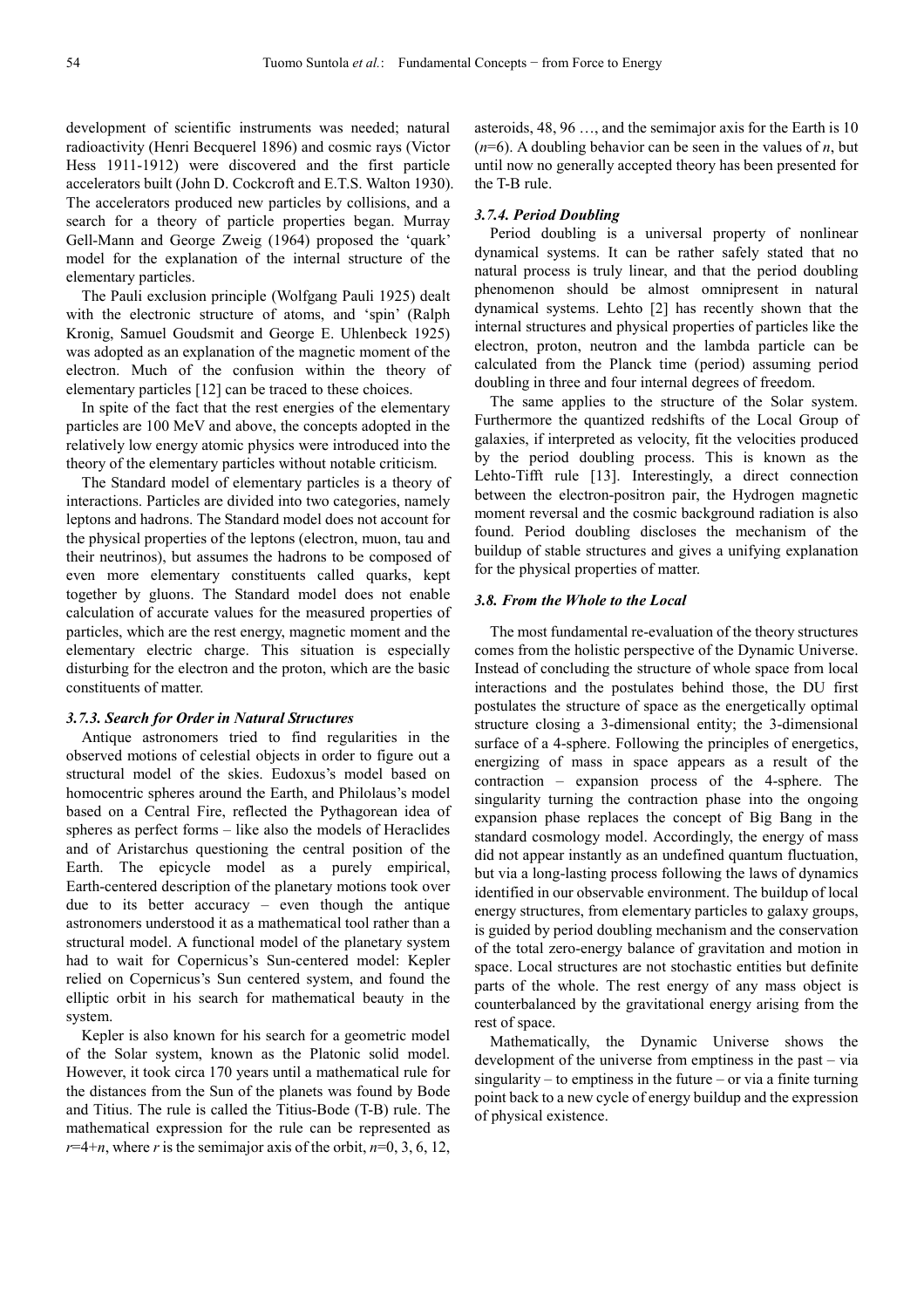development of scientific instruments was needed; natural radioactivity (Henri Becquerel 1896) and cosmic rays (Victor Hess 1911-1912) were discovered and the first particle accelerators built (John D. Cockcroft and E.T.S. Walton 1930). The accelerators produced new particles by collisions, and a search for a theory of particle properties began. Murray Gell-Mann and George Zweig (1964) proposed the 'quark' model for the explanation of the internal structure of the elementary particles.

The Pauli exclusion principle (Wolfgang Pauli 1925) dealt with the electronic structure of atoms, and 'spin' (Ralph Kronig, Samuel Goudsmit and George E. Uhlenbeck 1925) was adopted as an explanation of the magnetic moment of the electron. Much of the confusion within the theory of elementary particles [12] can be traced to these choices.

In spite of the fact that the rest energies of the elementary particles are 100 MeV and above, the concepts adopted in the relatively low energy atomic physics were introduced into the theory of the elementary particles without notable criticism.

The Standard model of elementary particles is a theory of interactions. Particles are divided into two categories, namely leptons and hadrons. The Standard model does not account for the physical properties of the leptons (electron, muon, tau and their neutrinos), but assumes the hadrons to be composed of even more elementary constituents called quarks, kept together by gluons. The Standard model does not enable calculation of accurate values for the measured properties of particles, which are the rest energy, magnetic moment and the elementary electric charge. This situation is especially disturbing for the electron and the proton, which are the basic constituents of matter.

#### *3.7.3. Search for Order in Natural Structures*

Antique astronomers tried to find regularities in the observed motions of celestial objects in order to figure out a structural model of the skies. Eudoxus's model based on homocentric spheres around the Earth, and Philolaus's model based on a Central Fire, reflected the Pythagorean idea of spheres as perfect forms – like also the models of Heraclides and of Aristarchus questioning the central position of the Earth. The epicycle model as a purely empirical, Earth-centered description of the planetary motions took over due to its better accuracy – even though the antique astronomers understood it as a mathematical tool rather than a structural model. A functional model of the planetary system had to wait for Copernicus's Sun-centered model: Kepler relied on Copernicus's Sun centered system, and found the elliptic orbit in his search for mathematical beauty in the system.

Kepler is also known for his search for a geometric model of the Solar system, known as the Platonic solid model. However, it took circa 170 years until a mathematical rule for the distances from the Sun of the planets was found by Bode and Titius. The rule is called the Titius-Bode (T-B) rule. The mathematical expression for the rule can be represented as  $r=4+n$ , where *r* is the semimajor axis of the orbit,  $n=0, 3, 6, 12$ , asteroids, 48, 96 …, and the semimajor axis for the Earth is 10 (*n*=6). A doubling behavior can be seen in the values of *n*, but until now no generally accepted theory has been presented for the T-B rule.

#### *3.7.4. Period Doubling*

Period doubling is a universal property of nonlinear dynamical systems. It can be rather safely stated that no natural process is truly linear, and that the period doubling phenomenon should be almost omnipresent in natural dynamical systems. Lehto [2] has recently shown that the internal structures and physical properties of particles like the electron, proton, neutron and the lambda particle can be calculated from the Planck time (period) assuming period doubling in three and four internal degrees of freedom.

The same applies to the structure of the Solar system. Furthermore the quantized redshifts of the Local Group of galaxies, if interpreted as velocity, fit the velocities produced by the period doubling process. This is known as the Lehto-Tifft rule [13]. Interestingly, a direct connection between the electron-positron pair, the Hydrogen magnetic moment reversal and the cosmic background radiation is also found. Period doubling discloses the mechanism of the buildup of stable structures and gives a unifying explanation for the physical properties of matter.

### *3.8. From the Whole to the Local*

The most fundamental re-evaluation of the theory structures comes from the holistic perspective of the Dynamic Universe. Instead of concluding the structure of whole space from local interactions and the postulates behind those, the DU first postulates the structure of space as the energetically optimal structure closing a 3-dimensional entity; the 3-dimensional surface of a 4-sphere. Following the principles of energetics, energizing of mass in space appears as a result of the contraction – expansion process of the 4-sphere. The singularity turning the contraction phase into the ongoing expansion phase replaces the concept of Big Bang in the standard cosmology model. Accordingly, the energy of mass did not appear instantly as an undefined quantum fluctuation, but via a long-lasting process following the laws of dynamics identified in our observable environment. The buildup of local energy structures, from elementary particles to galaxy groups, is guided by period doubling mechanism and the conservation of the total zero-energy balance of gravitation and motion in space. Local structures are not stochastic entities but definite parts of the whole. The rest energy of any mass object is counterbalanced by the gravitational energy arising from the rest of space.

Mathematically, the Dynamic Universe shows the development of the universe from emptiness in the past – via  $singularity - to$  emptiness in the future – or via a finite turning point back to a new cycle of energy buildup and the expression of physical existence.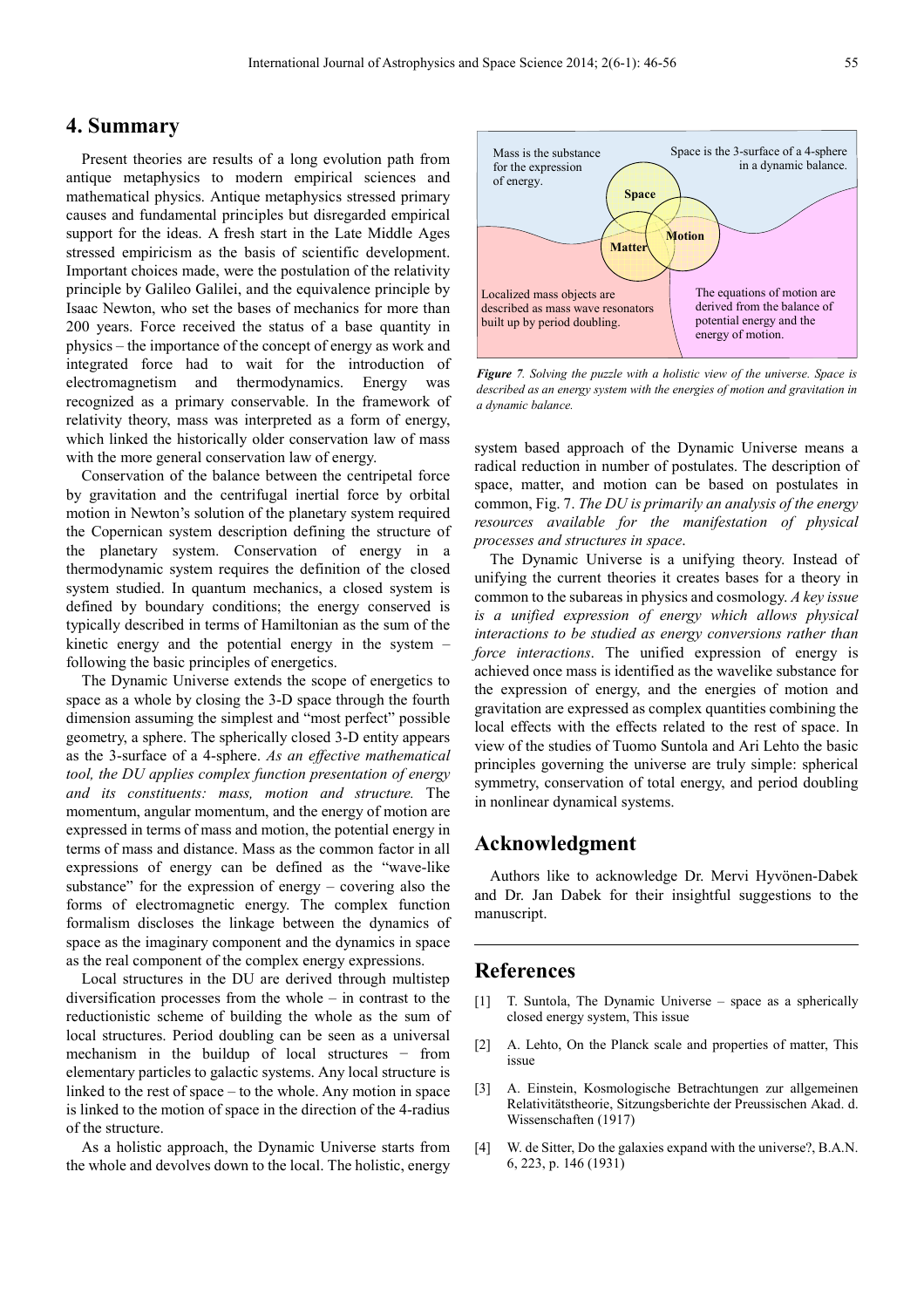# **4. Summary**

Present theories are results of a long evolution path from antique metaphysics to modern empirical sciences and mathematical physics. Antique metaphysics stressed primary causes and fundamental principles but disregarded empirical support for the ideas. A fresh start in the Late Middle Ages stressed empiricism as the basis of scientific development. Important choices made, were the postulation of the relativity principle by Galileo Galilei, and the equivalence principle by Isaac Newton, who set the bases of mechanics for more than 200 years. Force received the status of a base quantity in physics – the importance of the concept of energy as work and integrated force had to wait for the introduction of electromagnetism and thermodynamics. Energy was recognized as a primary conservable. In the framework of relativity theory, mass was interpreted as a form of energy, which linked the historically older conservation law of mass with the more general conservation law of energy.

Conservation of the balance between the centripetal force by gravitation and the centrifugal inertial force by orbital motion in Newton's solution of the planetary system required the Copernican system description defining the structure of the planetary system. Conservation of energy in a thermodynamic system requires the definition of the closed system studied. In quantum mechanics, a closed system is defined by boundary conditions; the energy conserved is typically described in terms of Hamiltonian as the sum of the kinetic energy and the potential energy in the system – following the basic principles of energetics.

The Dynamic Universe extends the scope of energetics to space as a whole by closing the 3-D space through the fourth dimension assuming the simplest and "most perfect" possible geometry, a sphere. The spherically closed 3-D entity appears as the 3-surface of a 4-sphere. *As an effective mathematical tool, the DU applies complex function presentation of energy and its constituents: mass, motion and structure.* The momentum, angular momentum, and the energy of motion are expressed in terms of mass and motion, the potential energy in terms of mass and distance. Mass as the common factor in all expressions of energy can be defined as the "wave-like substance" for the expression of energy – covering also the forms of electromagnetic energy. The complex function formalism discloses the linkage between the dynamics of space as the imaginary component and the dynamics in space as the real component of the complex energy expressions.

Local structures in the DU are derived through multistep diversification processes from the whole – in contrast to the reductionistic scheme of building the whole as the sum of local structures. Period doubling can be seen as a universal mechanism in the buildup of local structures − from elementary particles to galactic systems. Any local structure is linked to the rest of space – to the whole. Any motion in space is linked to the motion of space in the direction of the 4-radius of the structure.

As a holistic approach, the Dynamic Universe starts from the whole and devolves down to the local. The holistic, energy



*Figure 7. Solving the puzzle with a holistic view of the universe. Space is described as an energy system with the energies of motion and gravitation in a dynamic balance.* 

system based approach of the Dynamic Universe means a radical reduction in number of postulates. The description of space, matter, and motion can be based on postulates in common, Fig. 7. *The DU is primarily an analysis of the energy resources available for the manifestation of physical processes and structures in space*.

The Dynamic Universe is a unifying theory. Instead of unifying the current theories it creates bases for a theory in common to the subareas in physics and cosmology. *A key issue is a unified expression of energy which allows physical interactions to be studied as energy conversions rather than force interactions*. The unified expression of energy is achieved once mass is identified as the wavelike substance for the expression of energy, and the energies of motion and gravitation are expressed as complex quantities combining the local effects with the effects related to the rest of space. In view of the studies of Tuomo Suntola and Ari Lehto the basic principles governing the universe are truly simple: spherical symmetry, conservation of total energy, and period doubling in nonlinear dynamical systems.

# **Acknowledgment**

Authors like to acknowledge Dr. Mervi Hyvönen-Dabek and Dr. Jan Dabek for their insightful suggestions to the manuscript.

## **References**

- [1] T. Suntola, The Dynamic Universe space as a spherically closed energy system, This issue
- [2] A. Lehto, On the Planck scale and properties of matter, This issue
- [3] A. Einstein, Kosmologische Betrachtungen zur allgemeinen Relativitätstheorie, Sitzungsberichte der Preussischen Akad. d. Wissenschaften (1917)
- [4] W. de Sitter, Do the galaxies expand with the universe?, B.A.N. 6, 223, p. 146 (1931)